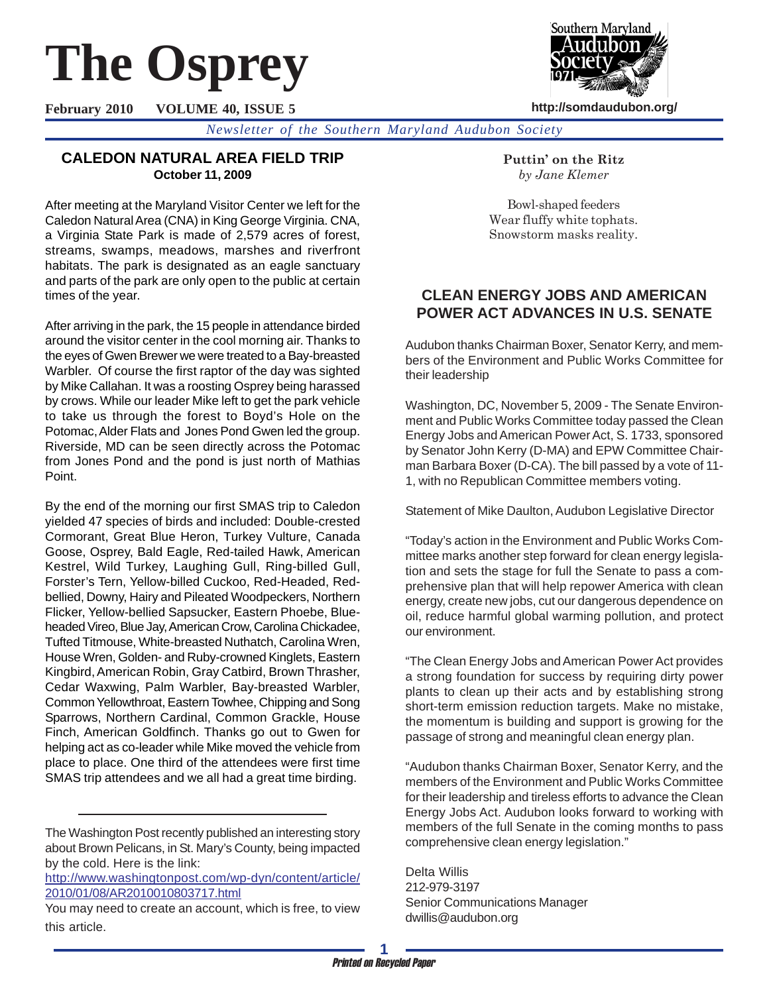# **The Osprey**

**February 2010 VOLUME 40, ISSUE 5**



**http://somdaudubon.org/**

*Newsletter of the Southern Maryland Audubon Society*

## **CALEDON NATURAL AREA FIELD TRIP October 11, 2009**

After meeting at the Maryland Visitor Center we left for the Caledon Natural Area (CNA) in King George Virginia. CNA, a Virginia State Park is made of 2,579 acres of forest, streams, swamps, meadows, marshes and riverfront habitats. The park is designated as an eagle sanctuary and parts of the park are only open to the public at certain times of the year.

After arriving in the park, the 15 people in attendance birded around the visitor center in the cool morning air. Thanks to the eyes of Gwen Brewer we were treated to a Bay-breasted Warbler. Of course the first raptor of the day was sighted by Mike Callahan. It was a roosting Osprey being harassed by crows. While our leader Mike left to get the park vehicle to take us through the forest to Boyd's Hole on the Potomac, Alder Flats and Jones Pond Gwen led the group. Riverside, MD can be seen directly across the Potomac from Jones Pond and the pond is just north of Mathias Point.

By the end of the morning our first SMAS trip to Caledon yielded 47 species of birds and included: Double-crested Cormorant, Great Blue Heron, Turkey Vulture, Canada Goose, Osprey, Bald Eagle, Red-tailed Hawk, American Kestrel, Wild Turkey, Laughing Gull, Ring-billed Gull, Forster's Tern, Yellow-billed Cuckoo, Red-Headed, Redbellied, Downy, Hairy and Pileated Woodpeckers, Northern Flicker, Yellow-bellied Sapsucker, Eastern Phoebe, Blueheaded Vireo, Blue Jay, American Crow, Carolina Chickadee, Tufted Titmouse, White-breasted Nuthatch, Carolina Wren, House Wren, Golden- and Ruby-crowned Kinglets, Eastern Kingbird, American Robin, Gray Catbird, Brown Thrasher, Cedar Waxwing, Palm Warbler, Bay-breasted Warbler, Common Yellowthroat, Eastern Towhee, Chipping and Song Sparrows, Northern Cardinal, Common Grackle, House Finch, American Goldfinch. Thanks go out to Gwen for helping act as co-leader while Mike moved the vehicle from place to place. One third of the attendees were first time SMAS trip attendees and we all had a great time birding.

http://www.washingtonpost.com/wp-dyn/content/article/ 2010/01/08/AR2010010803717.html

**Puttin' on the Ritz** *by Jane Klemer*

Bowl-shaped feeders Wear fluffy white tophats. Snowstorm masks reality.

## **CLEAN ENERGY JOBS AND AMERICAN POWER ACT ADVANCES IN U.S. SENATE**

Audubon thanks Chairman Boxer, Senator Kerry, and members of the Environment and Public Works Committee for their leadership

Washington, DC, November 5, 2009 - The Senate Environment and Public Works Committee today passed the Clean Energy Jobs and American Power Act, S. 1733, sponsored by Senator John Kerry (D-MA) and EPW Committee Chairman Barbara Boxer (D-CA). The bill passed by a vote of 11- 1, with no Republican Committee members voting.

Statement of Mike Daulton, Audubon Legislative Director

"Today's action in the Environment and Public Works Committee marks another step forward for clean energy legislation and sets the stage for full the Senate to pass a comprehensive plan that will help repower America with clean energy, create new jobs, cut our dangerous dependence on oil, reduce harmful global warming pollution, and protect our environment.

"The Clean Energy Jobs and American Power Act provides a strong foundation for success by requiring dirty power plants to clean up their acts and by establishing strong short-term emission reduction targets. Make no mistake, the momentum is building and support is growing for the passage of strong and meaningful clean energy plan.

"Audubon thanks Chairman Boxer, Senator Kerry, and the members of the Environment and Public Works Committee for their leadership and tireless efforts to advance the Clean Energy Jobs Act. Audubon looks forward to working with members of the full Senate in the coming months to pass comprehensive clean energy legislation."

Delta Willis 212-979-3197 Senior Communications Manager dwillis@audubon.org

The Washington Post recently published an interesting story about Brown Pelicans, in St. Mary's County, being impacted by the cold. Here is the link:

You may need to create an account, which is free, to view this article.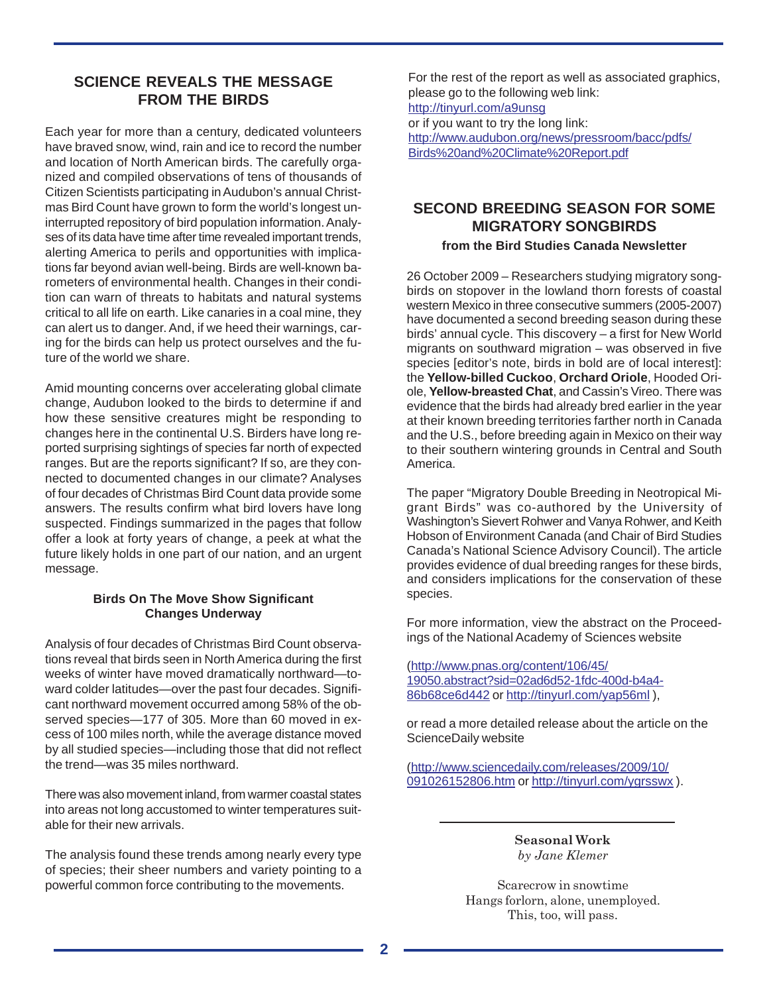## **SCIENCE REVEALS THE MESSAGE FROM THE BIRDS**

Each year for more than a century, dedicated volunteers have braved snow, wind, rain and ice to record the number and location of North American birds. The carefully organized and compiled observations of tens of thousands of Citizen Scientists participating in Audubon's annual Christmas Bird Count have grown to form the world's longest uninterrupted repository of bird population information. Analyses of its data have time after time revealed important trends, alerting America to perils and opportunities with implications far beyond avian well-being. Birds are well-known barometers of environmental health. Changes in their condition can warn of threats to habitats and natural systems critical to all life on earth. Like canaries in a coal mine, they can alert us to danger. And, if we heed their warnings, caring for the birds can help us protect ourselves and the future of the world we share.

Amid mounting concerns over accelerating global climate change, Audubon looked to the birds to determine if and how these sensitive creatures might be responding to changes here in the continental U.S. Birders have long reported surprising sightings of species far north of expected ranges. But are the reports significant? If so, are they connected to documented changes in our climate? Analyses of four decades of Christmas Bird Count data provide some answers. The results confirm what bird lovers have long suspected. Findings summarized in the pages that follow offer a look at forty years of change, a peek at what the future likely holds in one part of our nation, and an urgent message.

#### **Birds On The Move Show Significant Changes Underway**

Analysis of four decades of Christmas Bird Count observations reveal that birds seen in North America during the first weeks of winter have moved dramatically northward—toward colder latitudes—over the past four decades. Significant northward movement occurred among 58% of the observed species—177 of 305. More than 60 moved in excess of 100 miles north, while the average distance moved by all studied species—including those that did not reflect the trend—was 35 miles northward.

There was also movement inland, from warmer coastal states into areas not long accustomed to winter temperatures suitable for their new arrivals.

The analysis found these trends among nearly every type of species; their sheer numbers and variety pointing to a powerful common force contributing to the movements.

For the rest of the report as well as associated graphics, please go to the following web link: http://tinyurl.com/a9unsg

or if you want to try the long link:

http://www.audubon.org/news/pressroom/bacc/pdfs/ Birds%20and%20Climate%20Report.pdf

# **SECOND BREEDING SEASON FOR SOME MIGRATORY SONGBIRDS**

### **from the Bird Studies Canada Newsletter**

26 October 2009 – Researchers studying migratory songbirds on stopover in the lowland thorn forests of coastal western Mexico in three consecutive summers (2005-2007) have documented a second breeding season during these birds' annual cycle. This discovery – a first for New World migrants on southward migration – was observed in five species [editor's note, birds in bold are of local interest]: the **Yellow-billed Cuckoo**, **Orchard Oriole**, Hooded Oriole, **Yellow-breasted Chat**, and Cassin's Vireo. There was evidence that the birds had already bred earlier in the year at their known breeding territories farther north in Canada and the U.S., before breeding again in Mexico on their way to their southern wintering grounds in Central and South America.

The paper "Migratory Double Breeding in Neotropical Migrant Birds" was co-authored by the University of Washington's Sievert Rohwer and Vanya Rohwer, and Keith Hobson of Environment Canada (and Chair of Bird Studies Canada's National Science Advisory Council). The article provides evidence of dual breeding ranges for these birds, and considers implications for the conservation of these species.

For more information, view the abstract on the Proceedings of the National Academy of Sciences website

(http://www.pnas.org/content/106/45/ 19050.abstract?sid=02ad6d52-1fdc-400d-b4a4- 86b68ce6d442 or http://tinyurl.com/yap56ml ),

or read a more detailed release about the article on the ScienceDaily website

(http://www.sciencedaily.com/releases/2009/10/ 091026152806.htm or http://tinyurl.com/ygrsswx ).

> **Seasonal Work** *by Jane Klemer*

Scarecrow in snowtime Hangs forlorn, alone, unemployed. This, too, will pass.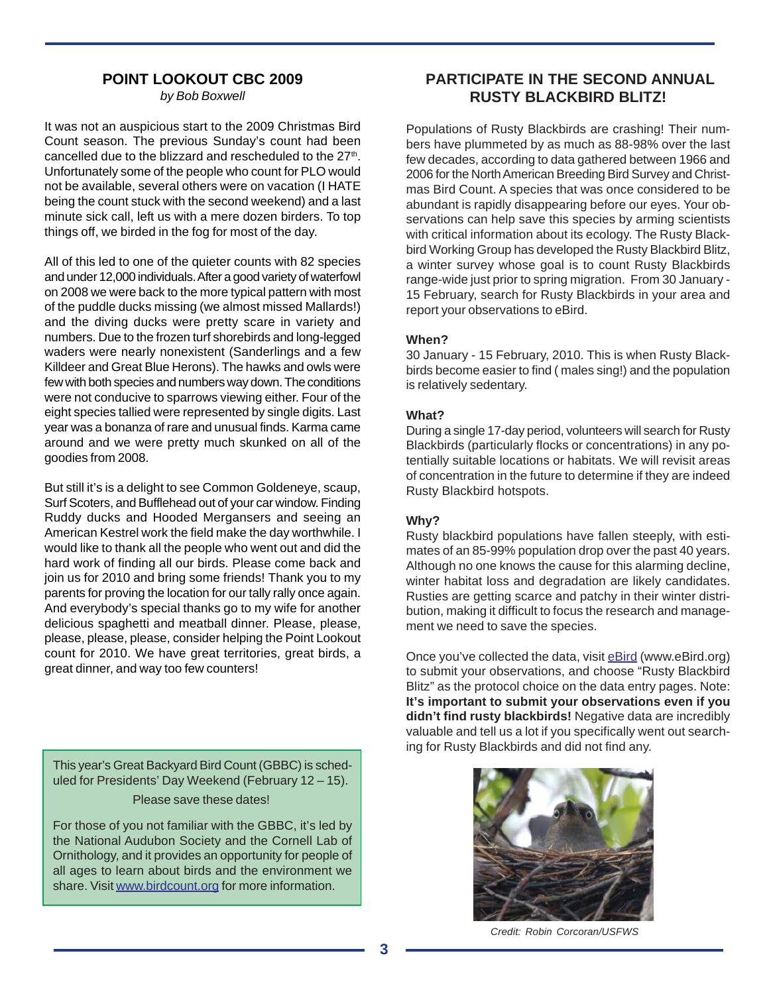## **POINT LOOKOUT CBC 2009**

*by Bob Boxwell*

It was not an auspicious start to the 2009 Christmas Bird Count season. The previous Sunday's count had been cancelled due to the blizzard and rescheduled to the 27<sup>th</sup>. Unfortunately some of the people who count for PLO would not be available, several others were on vacation (I HATE being the count stuck with the second weekend) and a last minute sick call, left us with a mere dozen birders. To top things off, we birded in the fog for most of the day.

All of this led to one of the quieter counts with 82 species and under 12,000 individuals. After a good variety of waterfowl on 2008 we were back to the more typical pattern with most of the puddle ducks missing (we almost missed Mallards!) and the diving ducks were pretty scare in variety and numbers. Due to the frozen turf shorebirds and long-legged waders were nearly nonexistent (Sanderlings and a few Killdeer and Great Blue Herons). The hawks and owls were few with both species and numbers way down. The conditions were not conducive to sparrows viewing either. Four of the eight species tallied were represented by single digits. Last year was a bonanza of rare and unusual finds. Karma came around and we were pretty much skunked on all of the goodies from 2008.

But still it's is a delight to see Common Goldeneye, scaup, Surf Scoters, and Bufflehead out of your car window. Finding Ruddy ducks and Hooded Mergansers and seeing an American Kestrel work the field make the day worthwhile. I would like to thank all the people who went out and did the hard work of finding all our birds. Please come back and join us for 2010 and bring some friends! Thank you to my parents for proving the location for our tally rally once again. And everybody's special thanks go to my wife for another delicious spaghetti and meatball dinner. Please, please, please, please, please, consider helping the Point Lookout count for 2010. We have great territories, great birds, a great dinner, and way too few counters!

This year's Great Backyard Bird Count (GBBC) is scheduled for Presidents' Day Weekend (February 12 – 15). Please save these dates!

For those of you not familiar with the GBBC, it's led by the National Audubon Society and the Cornell Lab of Ornithology, and it provides an opportunity for people of all ages to learn about birds and the environment we share. Visit www.birdcount.org for more information.

## **PARTICIPATE IN THE SECOND ANNUAL RUSTY BLACKBIRD BLITZ!**

Populations of Rusty Blackbirds are crashing! Their numbers have plummeted by as much as 88-98% over the last few decades, according to data gathered between 1966 and 2006 for the North American Breeding Bird Survey and Christmas Bird Count. A species that was once considered to be abundant is rapidly disappearing before our eyes. Your observations can help save this species by arming scientists with critical information about its ecology. The Rusty Blackbird Working Group has developed the Rusty Blackbird Blitz, a winter survey whose goal is to count Rusty Blackbirds range-wide just prior to spring migration. From 30 January - 15 February, search for Rusty Blackbirds in your area and report your observations to eBird.

## **When?**

30 January - 15 February, 2010. This is when Rusty Blackbirds become easier to find ( males sing!) and the population is relatively sedentary.

## **What?**

During a single 17-day period, volunteers will search for Rusty Blackbirds (particularly flocks or concentrations) in any potentially suitable locations or habitats. We will revisit areas of concentration in the future to determine if they are indeed Rusty Blackbird hotspots.

## **Why?**

Rusty blackbird populations have fallen steeply, with estimates of an 85-99% population drop over the past 40 years. Although no one knows the cause for this alarming decline, winter habitat loss and degradation are likely candidates. Rusties are getting scarce and patchy in their winter distribution, making it difficult to focus the research and management we need to save the species.

Once you've collected the data, visit eBird (www.eBird.org) to submit your observations, and choose "Rusty Blackbird Blitz" as the protocol choice on the data entry pages. Note: **It's important to submit your observations even if you didn't find rusty blackbirds!** Negative data are incredibly valuable and tell us a lot if you specifically went out searching for Rusty Blackbirds and did not find any.



*Credit: Robin Corcoran/USFWS*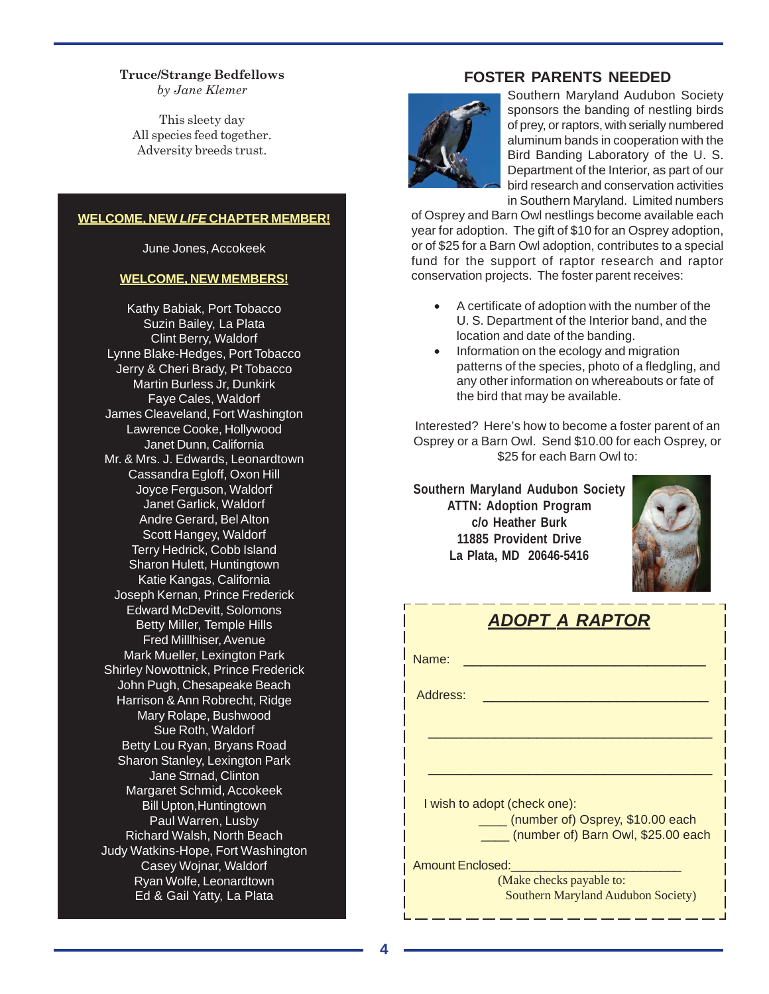**Truce/Strange Bedfellows** *by Jane Klemer*

This sleety day All species feed together. Adversity breeds trust.

#### **WELCOME, NEW** *LIFE* **CHAPTER MEMBER!**

June Jones, Accokeek

#### **WELCOME, NEW MEMBERS!**

Kathy Babiak, Port Tobacco Suzin Bailey, La Plata Clint Berry, Waldorf Lynne Blake-Hedges, Port Tobacco Jerry & Cheri Brady, Pt Tobacco Martin Burless Jr, Dunkirk Faye Cales, Waldorf James Cleaveland, Fort Washington Lawrence Cooke, Hollywood Janet Dunn, California Mr. & Mrs. J. Edwards, Leonardtown Cassandra Egloff, Oxon Hill Joyce Ferguson, Waldorf Janet Garlick, Waldorf Andre Gerard, Bel Alton Scott Hangey, Waldorf Terry Hedrick, Cobb Island Sharon Hulett, Huntingtown Katie Kangas, California Joseph Kernan, Prince Frederick Edward McDevitt, Solomons Betty Miller, Temple Hills Fred Milllhiser, Avenue Mark Mueller, Lexington Park Shirley Nowottnick, Prince Frederick John Pugh, Chesapeake Beach Harrison & Ann Robrecht, Ridge Mary Rolape, Bushwood Sue Roth, Waldorf Betty Lou Ryan, Bryans Road Sharon Stanley, Lexington Park Jane Strnad, Clinton Margaret Schmid, Accokeek Bill Upton,Huntingtown Paul Warren, Lusby Richard Walsh, North Beach Judy Watkins-Hope, Fort Washington Casey Wojnar, Waldorf Ryan Wolfe, Leonardtown Ed & Gail Yatty, La Plata

## **FOSTER PARENTS NEEDED**



Southern Maryland Audubon Society sponsors the banding of nestling birds of prey, or raptors, with serially numbered aluminum bands in cooperation with the Bird Banding Laboratory of the U. S. Department of the Interior, as part of our bird research and conservation activities in Southern Maryland. Limited numbers

of Osprey and Barn Owl nestlings become available each year for adoption. The gift of \$10 for an Osprey adoption, or of \$25 for a Barn Owl adoption, contributes to a special fund for the support of raptor research and raptor conservation projects. The foster parent receives:

- A certificate of adoption with the number of the U. S. Department of the Interior band, and the location and date of the banding.
- Information on the ecology and migration patterns of the species, photo of a fledgling, and any other information on whereabouts or fate of the bird that may be available.

Interested? Here's how to become a foster parent of an Osprey or a Barn Owl. Send \$10.00 for each Osprey, or \$25 for each Barn Owl to:

**Southern Maryland Audubon Society ATTN: Adoption Program c/o Heather Burk 11885 Provident Drive La Plata, MD 20646-5416**



|                  | <b>ADOPT A RAPTOR</b>                                                  |
|------------------|------------------------------------------------------------------------|
| Name:            |                                                                        |
| Address:         |                                                                        |
|                  |                                                                        |
|                  |                                                                        |
|                  | I wish to adopt (check one):                                           |
|                  | (number of) Osprey, \$10.00 each<br>(number of) Barn Owl, \$25.00 each |
| Amount Enclosed: |                                                                        |
|                  | (Make checks payable to:<br><b>Southern Maryland Audubon Society)</b>  |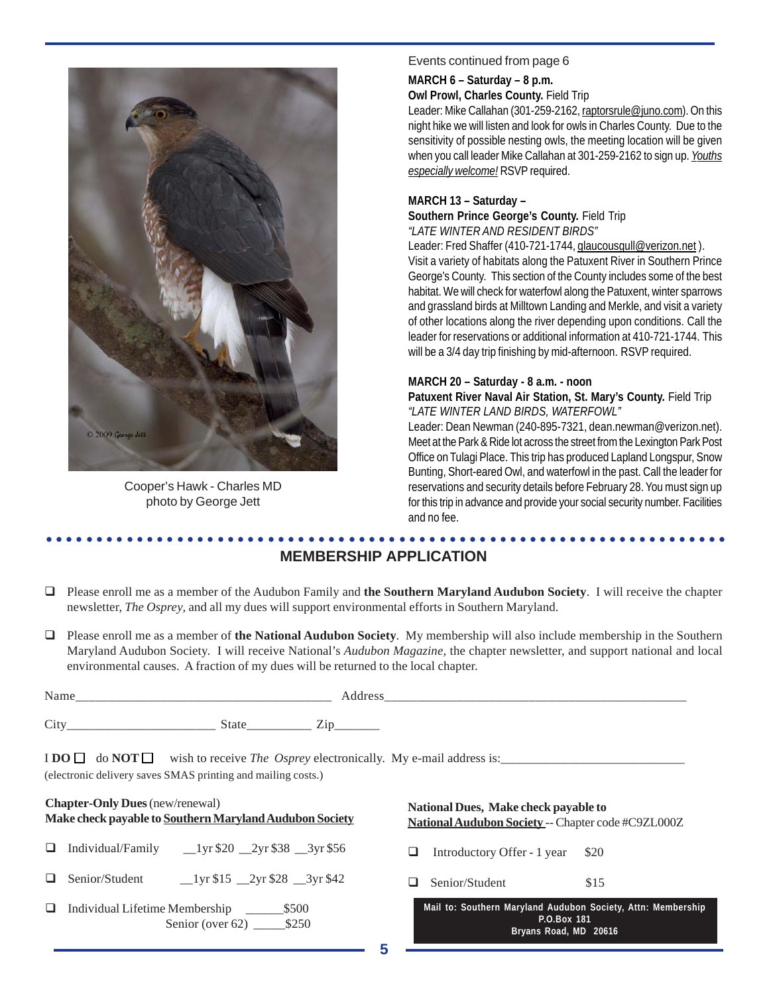

Cooper's Hawk - Charles MD photo by George Jett

### Events continued from page 6

**MARCH 6 – Saturday – 8 p.m.**

**Owl Prowl, Charles County.** Field Trip

Leader: Mike Callahan (301-259-2162, raptorsrule@juno.com). On this night hike we will listen and look for owls in Charles County. Due to the sensitivity of possible nesting owls, the meeting location will be given when you call leader Mike Callahan at 301-259-2162 to sign up. *Youths especially welcome!* RSVP required.

## **MARCH 13 – Saturday –**

**Southern Prince George's County.** Field Trip *"LATE WINTER AND RESIDENT BIRDS"*

Leader: Fred Shaffer (410-721-1744, glaucousgull@verizon.net). Visit a variety of habitats along the Patuxent River in Southern Prince George's County. This section of the County includes some of the best habitat. We will check for waterfowl along the Patuxent, winter sparrows and grassland birds at Milltown Landing and Merkle, and visit a variety of other locations along the river depending upon conditions. Call the leader for reservations or additional information at 410-721-1744. This will be a 3/4 day trip finishing by mid-afternoon. RSVP required.

#### **MARCH 20 – Saturday - 8 a.m. - noon**

Patuxent River Naval Air Station, St. Mary's County. Field Trip *"LATE WINTER LAND BIRDS, WATERFOWL"*

Leader: Dean Newman (240-895-7321, dean.newman@verizon.net). Meet at the Park & Ride lot across the street from the Lexington Park Post Office on Tulagi Place. This trip has produced Lapland Longspur, Snow Bunting, Short-eared Owl, and waterfowl in the past. Call the leader for reservations and security details before February 28. You must sign up for this trip in advance and provide your social security number. Facilities and no fee.

#### ○○○○○○○○○○○○○○○○○○○○○○○○○○○○○○○○○○○○○○○○○○○○ ○○○○○○○○○○○○○○○○○○○○○○○○ **MEMBERSHIP APPLICATION**

- Please enroll me as a member of the Audubon Family and **the Southern Maryland Audubon Society**. I will receive the chapter newsletter, *The Osprey*, and all my dues will support environmental efforts in Southern Maryland.
- Please enroll me as a member of **the National Audubon Society**. My membership will also include membership in the Southern Maryland Audubon Society. I will receive National's *Audubon Magazine*, the chapter newsletter, and support national and local environmental causes. A fraction of my dues will be returned to the local chapter.

| Name<br>_______ | ____                                   | _______   |
|-----------------|----------------------------------------|-----------|
| Cit             | State<br>$\overline{ }$<br>___________ | _________ |

I **DO**  $\Box$  do **NOT** wish to receive *The Osprey* electronically. My e-mail address is: (electronic delivery saves SMAS printing and mailing costs.)

| <b>Chapter-Only Dues</b> (new/renewal)                  |
|---------------------------------------------------------|
| Make check payable to Southern Maryland Audubon Society |
|                                                         |

- Individual/Family \_\_1yr \$20 \_\_2yr \$38 \_\_3yr \$56
- $\Box$  Senior/Student  $\Box$ 1yr \$15  $\Box$ 2yr \$28  $\Box$ 3yr \$42
- Individual Lifetime Membership \_\_\_\_\_\_\$500 Senior (over 62) \_\_\_\_\_\_\_ \$250

**National Dues, Make check payable to National Audubon Society** -- Chapter code #C9ZL000Z

 $\Box$  Introductory Offer - 1 year \$20

 $\Box$  Senior/Student \$15

|             |  |  |                       |  |  |  |  | Mail to: Southern Maryland Audubon Society, Attn: Membership |  |
|-------------|--|--|-----------------------|--|--|--|--|--------------------------------------------------------------|--|
| P.O.Box 181 |  |  |                       |  |  |  |  |                                                              |  |
|             |  |  | Bryans Road, MD 20616 |  |  |  |  |                                                              |  |